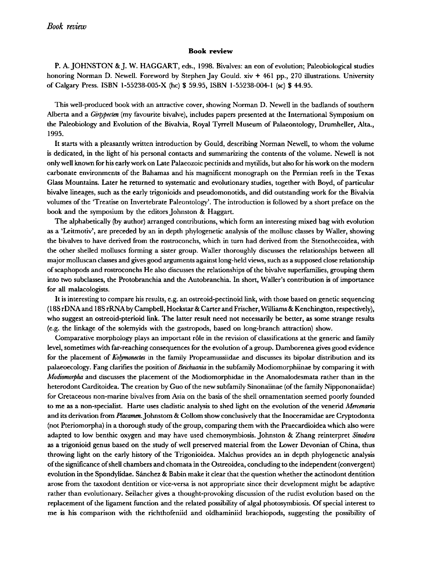## Book review

P. A. JOHNSTON & J. W. HAGGART, eds., 1998. Bivalves: an eon ofevolution; Paleobiological studies honoring Norman D. Newell. Foreword by Stephen Jay Gould. xiv + 461 pp., 270 illustrations. University ofCalgary Press. ISBN 1-55238-005-X (hc) \$ 59.95, ISBN 1-55238-004-1 (sc) \$ 44.95.

This well-produced book with an attractive cover, showing Norman D. Newell in the badlands of southern Alberta and a *Girtypecten* (my favourite bivalve), includes papers presented at the International Symposium on the Paleobiology and Evolution of the Bivalvia, Royal Tyrrell Museum of Palaeontology, Drumheller, Alta., 1995.

It starts with <sup>a</sup> pleasantly written introduction by Gould, describing Norman Newell, towhom the volume is dedicated, in the light of his personal contacts and summarizing the contents of the volume. Newell is not only well known for his early work on Late Palaeozoic pectinids and mytilids, but also for his work on the modern carbonate environments of the Bahamas and his magnificent monograph on the Permian reefs in the Texas Glass Mountains. Later he returned to systematic and evolutionary studies, together with Boyd, of particular bivalve lineages, such as the early trigonioids and pseudomonotids, and did outstanding work for the Bivalvia volumes ofthe 'Treatise on Invertebrate Paleontology'.The introduction is followed by <sup>a</sup> short preface on the book and the symposium by the editors Johnston & Haggart.

The alphabetically(by author) arranged contributions, which form an interesting mixed bag with evolution as <sup>a</sup> 'Leitmotiv', are preceded by an in depth phylogenetic analysis of the mollusc classes by Waller, showing the bivalves to have derived from the rostroconchs, which in turn had derived from the Stenothecoidea, with the other shelled molluscs forming <sup>a</sup> sister group. Waller thoroughly discusses the relationships between all major molluscan classes and gives good arguments against long-heldviews, such as <sup>a</sup> supposed close relationship of scaphopods and rostroconchs He also discusses the relationships of the bivalve superfamilies, grouping them into two subclasses, the Protobranchia and the Autobranchia. In short, Waller's contribution is of importance for all malacologists.

It is interesting to compare his results, e.g. an ostreoid-pectinoid link, with those based on genetic sequencing (18S rDNAand 18SrRNA by Campbell,Hoekstar & Carter and Frischer. Williams& Kenchington, respectively), who suggest an ostreoid-pterioid link. The latter result need not necessarily be better, as some strange results (e.g. the linkage of the solemyids with the gastropods, based on long-branch attraction) show.

Comparative morphology plays an important rôle in the revision of classifications at the generic and family level, sometimes with far-reaching consequences for the evolution of a group. Damborenea gives good evidence for the placement of Kolymonectes in the family Propeamussiidae and discusses its bipolar distribution and its palaeoecology. Fang clarifies the position of Beichuania in the subfamily Modiomorphiinae by comparing it with Modiomorpha and discusses the placement of the Modiomorphidae in the Anomalodesmata rather than in the heterodont Carditoidea. The creation by Guo of the new subfamily Sinonaiinae (of the family Nippononaiidae) for Cretaceous non-marine bivalves from Asia on the basis of the shell ornamentation seemed poorly founded to me as a non-specialist. Harte uses cladistic analysis to shed light on the evolution of the venerid Mercenaria and its derivation from Placamen. Johnstom & Collom show conclusively that the Inoceramidae are Cryptodonta (not Pteriomorpha) in a thorough study of the group, comparing them with the Praecardioidea which also were adapted to low benthic oxygen and may have used chemosymbiosis. Johnston & Zhang reinterpret Sinodora as a trigonioid genus based on the study of well preserved material from the Lower Devonian of China, thus throwing light on the early history of the Trigonioidea. Malchus provides an in depth phylogenetic analysis ofthe significance ofshell chambers and chomata in the Ostreoidea, concluding to the independent (convergent) evolution in the Spondylidae. Sanchez & Babin make it clear that the question whether the actinodont dentition arose from the taxodont dentition or vice-versa is not appropriate since their development might be adaptive rather than evolutionary. Seilacher gives <sup>a</sup> thought-provoking discussion of the rudist evolution based on the replacement of the ligament function and the related possibility of algal photosymbiosis. Of special interest to me is his comparison with the richthofeniid and oldbaminiid brachiopods, suggesting the possibility of